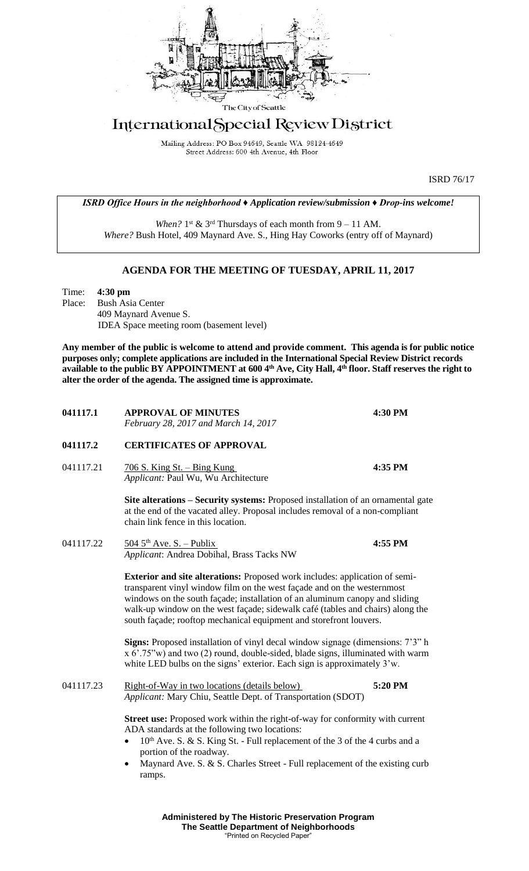

# International Special Review District

Mailing Address: PO Box 94649, Seattle WA 98124-4649 Street Address: 600 4th Avenue, 4th Floor

ISRD 76/17

*ISRD Office Hours in the neighborhood ♦ Application review/submission ♦ Drop-ins welcome!*

When?  $1^{st}$  &  $3^{rd}$  Thursdays of each month from  $9 - 11$  AM. *Where?* Bush Hotel, 409 Maynard Ave. S., Hing Hay Coworks (entry off of Maynard)

### **AGENDA FOR THE MEETING OF TUESDAY, APRIL 11, 2017**

Time: **4:30 pm** Place: Bush Asia Center 409 Maynard Avenue S. IDEA Space meeting room (basement level)

**Any member of the public is welcome to attend and provide comment. This agenda is for public notice purposes only; complete applications are included in the International Special Review District records available to the public BY APPOINTMENT at 600 4th Ave, City Hall, 4th floor. Staff reserves the right to alter the order of the agenda. The assigned time is approximate.** 

| <b>APPROVAL OF MINUTES</b><br>February 28, 2017 and March 14, 2017                                                                                                                                                                                                                                                                                                                                   | 4:30 PM |
|------------------------------------------------------------------------------------------------------------------------------------------------------------------------------------------------------------------------------------------------------------------------------------------------------------------------------------------------------------------------------------------------------|---------|
| <b>CERTIFICATES OF APPROVAL</b>                                                                                                                                                                                                                                                                                                                                                                      |         |
| $\frac{706 \text{ S}}{100 \text{ S}}$ . King St. – Bing Kung<br>Applicant: Paul Wu, Wu Architecture                                                                                                                                                                                                                                                                                                  | 4:35 PM |
| Site alterations – Security systems: Proposed installation of an ornamental gate<br>at the end of the vacated alley. Proposal includes removal of a non-compliant<br>chain link fence in this location.                                                                                                                                                                                              |         |
| $\frac{504}{5}$ S <sup>th</sup> Ave. S. - Publix<br>Applicant: Andrea Dobihal, Brass Tacks NW                                                                                                                                                                                                                                                                                                        | 4:55 PM |
| <b>Exterior and site alterations:</b> Proposed work includes: application of semi-<br>transparent vinyl window film on the west façade and on the westernmost<br>windows on the south façade; installation of an aluminum canopy and sliding<br>walk-up window on the west façade; sidewalk café (tables and chairs) along the<br>south façade; rooftop mechanical equipment and storefront louvers. |         |
| Signs: Proposed installation of vinyl decal window signage (dimensions: 7'3" h<br>x 6'.75"w) and two (2) round, double-sided, blade signs, illuminated with warm<br>white LED bulbs on the signs' exterior. Each sign is approximately 3'w.                                                                                                                                                          |         |
| Right-of-Way in two locations (details below)<br>Applicant: Mary Chiu, Seattle Dept. of Transportation (SDOT)                                                                                                                                                                                                                                                                                        | 5:20 PM |
| <b>Street use:</b> Proposed work within the right-of-way for conformity with current<br>ADA standards at the following two locations:<br>10 <sup>th</sup> Ave. S. & S. King St. - Full replacement of the 3 of the 4 curbs and a<br>portion of the roadway.<br>Maynard Ave. S. & S. Charles Street - Full replacement of the existing curb<br>$\bullet$<br>ramps.                                    |         |
|                                                                                                                                                                                                                                                                                                                                                                                                      |         |